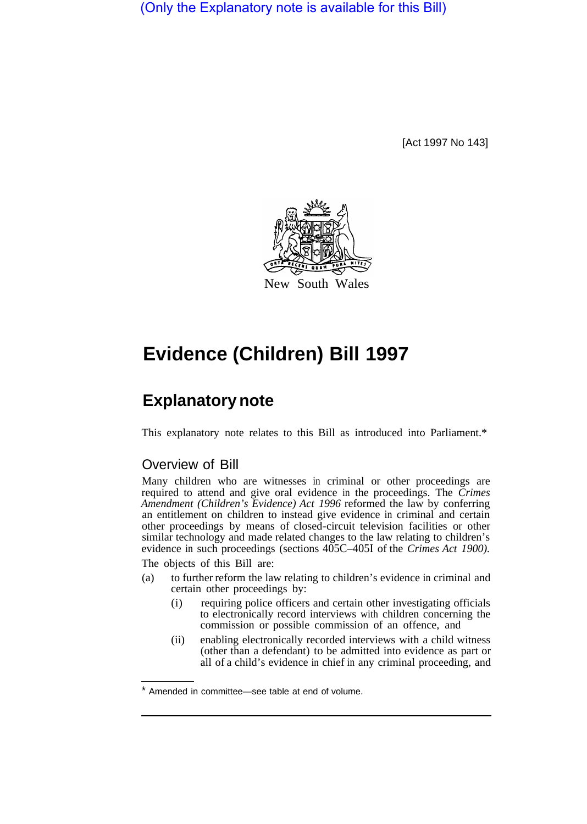(Only the Explanatory note is available for this Bill)

[Act 1997 No 143]



# **Evidence (Children) Bill 1997**

# **Explanatory note**

This explanatory note relates to this Bill as introduced into Parliament.\*

# Overview of Bill

Many children who are witnesses in criminal or other proceedings are required to attend and give oral evidence in the proceedings. The *Crimes Amendment (Children's Evidence) Act 1996* reformed the law by conferring an entitlement on children to instead give evidence in criminal and certain other proceedings by means of closed-circuit television facilities or other similar technology and made related changes to the law relating to children's evidence in such proceedings (sections  $405C-405I$  of the *Crimes Act 1900*).

The objects of this Bill are:

- (a) to further reform the law relating to children's evidence in criminal and certain other proceedings by:
	- (i) requiring police officers and certain other investigating officials to electronically record interviews with children concerning the commission or possible commission of an offence, and
	- (ii) enabling electronically recorded interviews with a child witness (other than a defendant) to be admitted into evidence as part or all of a child's evidence in chief in any criminal proceeding, and

<sup>\*</sup> Amended in committee—see table at end of volume.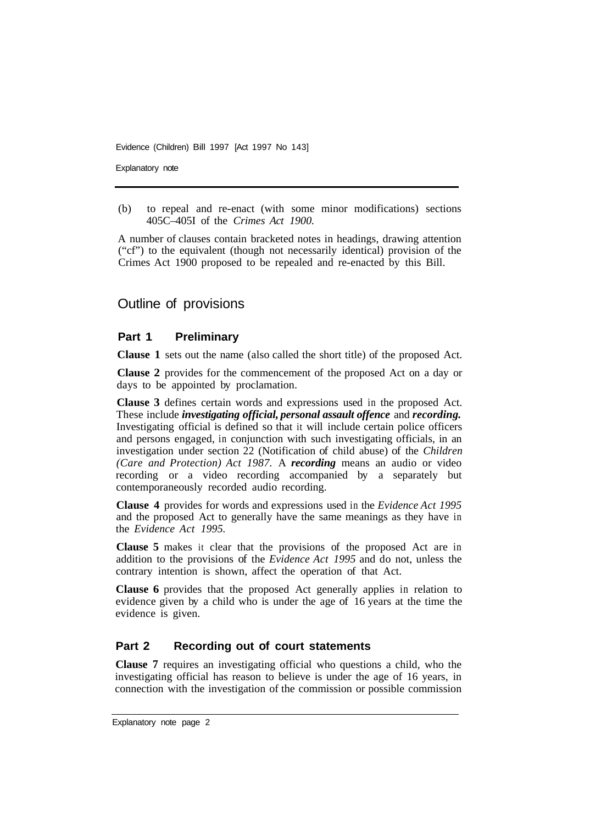Explanatory note

(b) to repeal and re-enact (with some minor modifications) sections 405C–405I of the *Crimes Act 1900.* 

A number of clauses contain bracketed notes in headings, drawing attention ("cf") to the equivalent (though not necessarily identical) provision of the Crimes Act 1900 proposed to be repealed and re-enacted by this Bill.

# Outline of provisions

### **Part 1 Preliminary**

**Clause 1** sets out the name (also called the short title) of the proposed Act.

**Clause 2** provides for the commencement of the proposed Act on a day or days to be appointed by proclamation.

**Clause 3** defines certain words and expressions used in the proposed Act. These include *investigating official, personal assault offence* and *recording.*  Investigating official is defined so that it will include certain police officers and persons engaged, in conjunction with such investigating officials, in an investigation under section 22 (Notification of child abuse) of the *Children (Care and Protection) Act 1987.* A *recording* means an audio or video recording or a video recording accompanied by a separately but contemporaneously recorded audio recording.

**Clause 4** provides for words and expressions used in the *Evidence Act 1995*  and the proposed Act to generally have the same meanings as they have in the *Evidence Act 1995.* 

**Clause 5** makes it clear that the provisions of the proposed Act are in addition to the provisions of the *Evidence Act 1995* and do not, unless the contrary intention is shown, affect the operation of that Act.

**Clause 6** provides that the proposed Act generally applies in relation to evidence given by a child who is under the age of 16 years at the time the evidence is given.

## **Part 2 Recording out of court statements**

**Clause 7** requires an investigating official who questions a child, who the investigating official has reason to believe is under the age of 16 years, in connection with the investigation of the commission or possible commission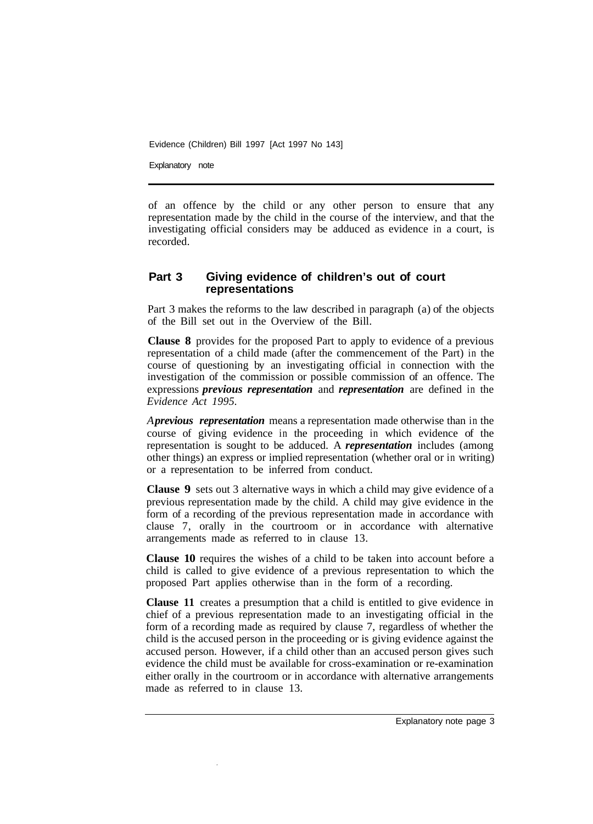Explanatory note

of an offence by the child or any other person to ensure that any representation made by the child in the course of the interview, and that the investigating official considers may be adduced as evidence in a court, is recorded.

#### **Part 3 Giving evidence of children's out of court representations**

Part 3 makes the reforms to the law described in paragraph (a) of the objects of the Bill set out in the Overview of the Bill.

**Clause 8** provides for the proposed Part to apply to evidence of a previous representation of a child made (after the commencement of the Part) in the course of questioning by an investigating official in connection with the investigation of the commission or possible commission of an offence. The expressions *previous representation* and *representation* are defined in the *Evidence Act 1995.* 

*A previous representation* means a representation made otherwise than in the course of giving evidence in the proceeding in which evidence of the representation is sought to be adduced. A *representation* includes (among other things) an express or implied representation (whether oral or in writing) or a representation to be inferred from conduct.

**Clause 9** sets out 3 alternative ways in which a child may give evidence of a previous representation made by the child. A child may give evidence in the form of a recording of the previous representation made in accordance with clause 7, orally in the courtroom or in accordance with alternative arrangements made as referred to in clause 13.

**Clause 10** requires the wishes of a child to be taken into account before a child is called to give evidence of a previous representation to which the proposed Part applies otherwise than in the form of a recording.

**Clause 11** creates a presumption that a child is entitled to give evidence in chief of a previous representation made to an investigating official in the form of a recording made as required by clause 7, regardless of whether the child is the accused person in the proceeding or is giving evidence against the accused person. However, if a child other than an accused person gives such evidence the child must be available for cross-examination or re-examination either orally in the courtroom or in accordance with alternative arrangements made as referred to in clause 13.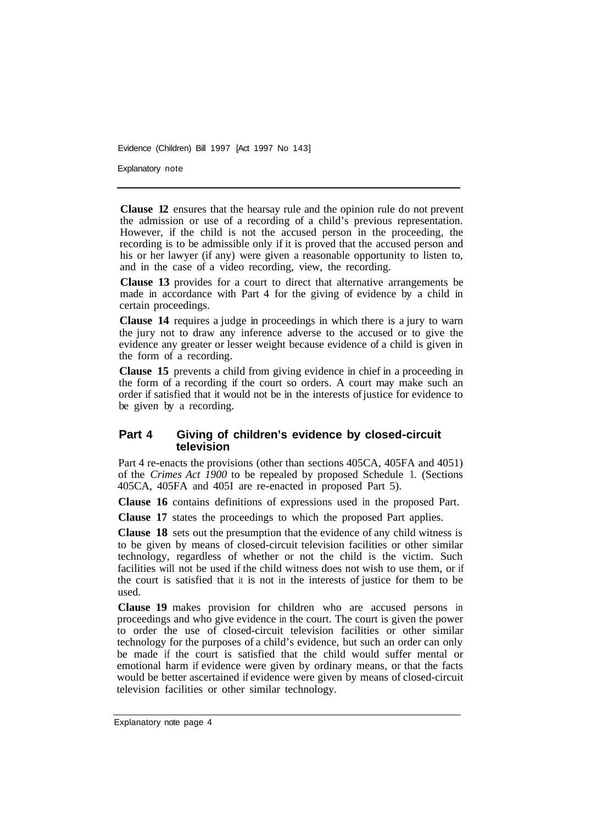Explanatory note

**Clause 12** ensures that the hearsay rule and the opinion rule do not prevent the admission or use of a recording of a child's previous representation. However, if the child is not the accused person in the proceeding, the recording is to be admissible only if it is proved that the accused person and his or her lawyer (if any) were given a reasonable opportunity to listen to, and in the case of a video recording, view, the recording.

**Clause 13** provides for a court to direct that alternative arrangements be made in accordance with Part 4 for the giving of evidence by a child in certain proceedings.

**Clause 14** requires a judge in proceedings in which there is a jury to warn the jury not to draw any inference adverse to the accused or to give the evidence any greater or lesser weight because evidence of a child is given in the form of a recording.

**Clause 15** prevents a child from giving evidence in chief in a proceeding in the form of a recording if the court so orders. A court may make such an order if satisfied that it would not be in the interests of justice for evidence to be given by a recording.

#### **Part 4 Giving of children's evidence by closed-circuit television**

Part 4 re-enacts the provisions (other than sections 405CA, 405FA and 4051) of the *Crimes Act 1900* to be repealed by proposed Schedule 1. (Sections 405CA, 405FA and 405I are re-enacted in proposed Part 5).

**Clause 16** contains definitions of expressions used in the proposed Part.

**Clause 17** states the proceedings to which the proposed Part applies.

**Clause 18** sets out the presumption that the evidence of any child witness is to be given by means of closed-circuit television facilities or other similar technology, regardless of whether or not the child is the victim. Such facilities will not be used if the child witness does not wish to use them, or if the court is satisfied that it is not in the interests of justice for them to be used.

**Clause 19** makes provision for children who are accused persons in proceedings and who give evidence in the court. The court is given the power to order the use of closed-circuit television facilities or other similar technology for the purposes of a child's evidence, but such an order can only be made if the court is satisfied that the child would suffer mental or emotional harm if evidence were given by ordinary means, or that the facts would be better ascertained if evidence were given by means of closed-circuit television facilities or other similar technology.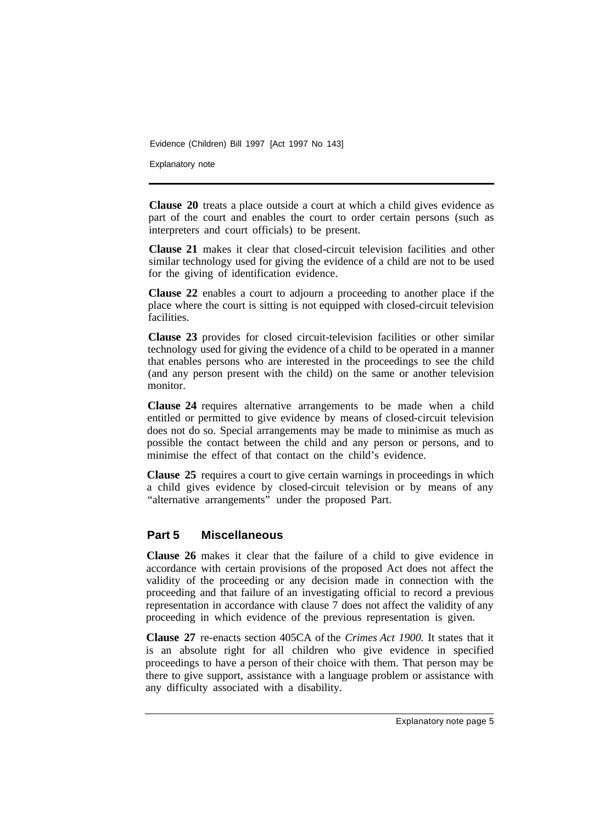Explanatory note

**Clause 20** treats a place outside a court at which a child gives evidence as part of the court and enables the court to order certain persons (such as interpreters and court officials) to be present.

**Clause 21** makes it clear that closed-circuit television facilities and other similar technology used for giving the evidence of a child are not to be used for the giving of identification evidence.

**Clause 22** enables a court to adjourn a proceeding to another place if the place where the court is sitting is not equipped with closed-circuit television facilities.

**Clause 23** provides for closed circuit-television facilities or other similar technology used for giving the evidence of a child to be operated in a manner that enables persons who are interested in the proceedings to see the child (and any person present with the child) on the same or another television monitor.

**Clause 24** requires alternative arrangements to be made when a child entitled or permitted to give evidence by means of closed-circuit television does not do so. Special arrangements may be made to minimise as much as possible the contact between the child and any person or persons, and to minimise the effect of that contact on the child's evidence.

**Clause 25** requires a court to give certain warnings in proceedings in which a child gives evidence by closed-circuit television or by means of any "alternative arrangements" under the proposed Part.

#### **Part 5 Miscellaneous**

**Clause 26** makes it clear that the failure of a child to give evidence in accordance with certain provisions of the proposed Act does not affect the validity of the proceeding or any decision made in connection with the proceeding and that failure of an investigating official to record a previous representation in accordance with clause 7 does not affect the validity of any proceeding in which evidence of the previous representation is given.

**Clause 27** re-enacts section 405CA of the *Crimes Act 1900.* It states that it is an absolute right for all children who give evidence in specified proceedings to have a person of their choice with them. That person may be there to give support, assistance with a language problem or assistance with any difficulty associated with a disability.